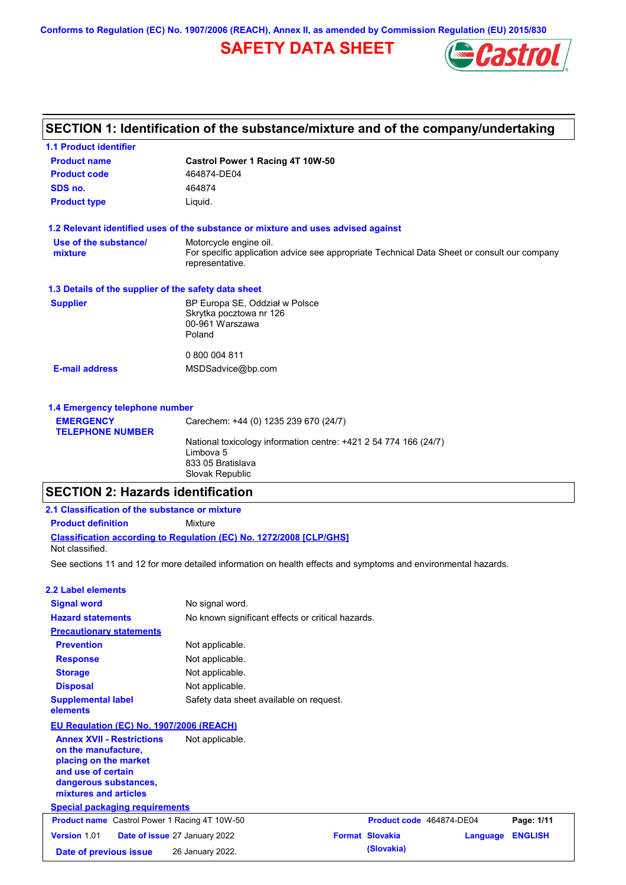**Conforms to Regulation (EC) No. 1907/2006 (REACH), Annex II, as amended by Commission Regulation (EU) 2015/830**

# **SAFETY DATA SHEET**



# **SECTION 1: Identification of the substance/mixture and of the company/undertaking**

| <b>1.1 Product identifier</b>                        |                                                                                                                |
|------------------------------------------------------|----------------------------------------------------------------------------------------------------------------|
| <b>Product name</b>                                  | Castrol Power 1 Racing 4T 10W-50                                                                               |
| <b>Product code</b>                                  | 464874-DE04                                                                                                    |
| SDS no.                                              | 464874                                                                                                         |
| <b>Product type</b>                                  | Liquid.                                                                                                        |
|                                                      | 1.2 Relevant identified uses of the substance or mixture and uses advised against                              |
| Use of the substance/                                | Motorcycle engine oil.                                                                                         |
| mixture                                              | For specific application advice see appropriate Technical Data Sheet or consult our company<br>representative. |
| 1.3 Details of the supplier of the safety data sheet |                                                                                                                |
| <b>Supplier</b>                                      | BP Europa SE, Oddział w Polsce                                                                                 |
|                                                      | Skrytka pocztowa nr 126                                                                                        |
|                                                      | 00-961 Warszawa<br>Poland                                                                                      |
|                                                      | 0 800 004 811                                                                                                  |
| <b>E-mail address</b>                                | MSDSadvice@bp.com                                                                                              |
| 1.4 Emergency telephone number                       |                                                                                                                |
|                                                      |                                                                                                                |

| <b>EMERGENCY</b>        | Carechem: +44 (0) 1235 239 670 (24/7)                            |
|-------------------------|------------------------------------------------------------------|
| <b>TELEPHONE NUMBER</b> |                                                                  |
|                         | National toxicology information centre: +421 2 54 774 166 (24/7) |
|                         | Limbova 5                                                        |
|                         | 833 05 Bratislava                                                |
|                         | Slovak Republic                                                  |

## **SECTION 2: Hazards identification**

| 2.1 Classification of the substance or mixture                                                                                                           |                                                                                                                |                          |          |                |
|----------------------------------------------------------------------------------------------------------------------------------------------------------|----------------------------------------------------------------------------------------------------------------|--------------------------|----------|----------------|
| <b>Product definition</b>                                                                                                                                | <b>Mixture</b>                                                                                                 |                          |          |                |
| Not classified.                                                                                                                                          | <b>Classification according to Regulation (EC) No. 1272/2008 [CLP/GHS]</b>                                     |                          |          |                |
|                                                                                                                                                          | See sections 11 and 12 for more detailed information on health effects and symptoms and environmental hazards. |                          |          |                |
| 2.2 Label elements                                                                                                                                       |                                                                                                                |                          |          |                |
| <b>Signal word</b>                                                                                                                                       | No signal word.                                                                                                |                          |          |                |
| <b>Hazard statements</b>                                                                                                                                 | No known significant effects or critical hazards.                                                              |                          |          |                |
| <b>Precautionary statements</b>                                                                                                                          |                                                                                                                |                          |          |                |
| <b>Prevention</b>                                                                                                                                        | Not applicable.                                                                                                |                          |          |                |
| <b>Response</b>                                                                                                                                          | Not applicable.                                                                                                |                          |          |                |
| <b>Storage</b>                                                                                                                                           | Not applicable.                                                                                                |                          |          |                |
| <b>Disposal</b>                                                                                                                                          | Not applicable.                                                                                                |                          |          |                |
| <b>Supplemental label</b><br>elements                                                                                                                    | Safety data sheet available on request.                                                                        |                          |          |                |
| EU Regulation (EC) No. 1907/2006 (REACH)                                                                                                                 |                                                                                                                |                          |          |                |
| <b>Annex XVII - Restrictions</b><br>on the manufacture,<br>placing on the market<br>and use of certain<br>dangerous substances,<br>mixtures and articles | Not applicable.                                                                                                |                          |          |                |
| <b>Special packaging requirements</b>                                                                                                                    |                                                                                                                |                          |          |                |
| <b>Product name</b> Castrol Power 1 Racing 4T 10W-50                                                                                                     |                                                                                                                | Product code 464874-DE04 |          | Page: 1/11     |
| Version 1.01                                                                                                                                             | Date of issue 27 January 2022                                                                                  | <b>Format Slovakia</b>   | Language | <b>ENGLISH</b> |
| Date of previous issue                                                                                                                                   | 26 January 2022.                                                                                               | (Slovakia)               |          |                |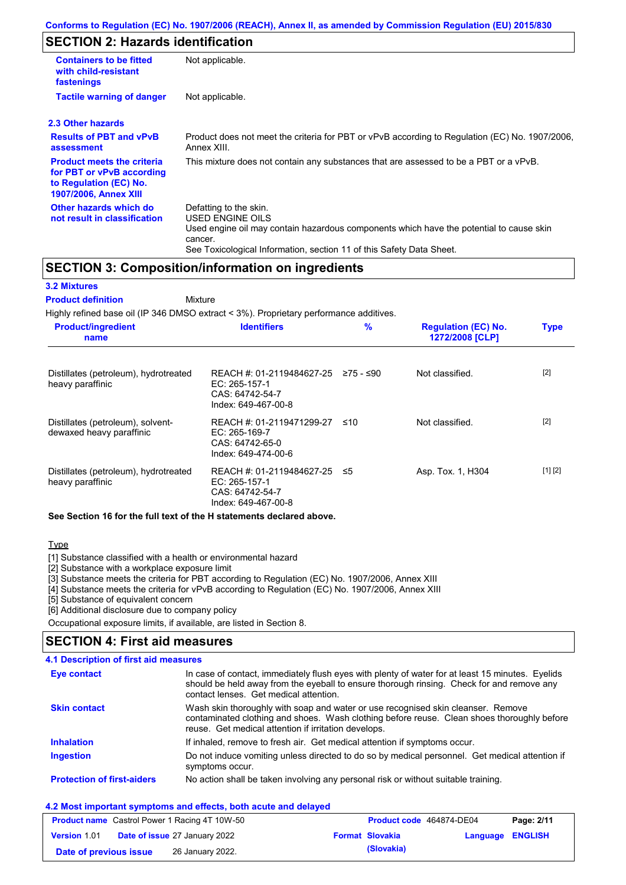## **SECTION 2: Hazards identification**

| <b>Containers to be fitted</b><br>with child-resistant<br>fastenings                                                     | Not applicable.                                                                                                                                                                                                          |
|--------------------------------------------------------------------------------------------------------------------------|--------------------------------------------------------------------------------------------------------------------------------------------------------------------------------------------------------------------------|
| <b>Tactile warning of danger</b>                                                                                         | Not applicable.                                                                                                                                                                                                          |
| 2.3 Other hazards                                                                                                        |                                                                                                                                                                                                                          |
| <b>Results of PBT and vPvB</b><br>assessment                                                                             | Product does not meet the criteria for PBT or vPvB according to Regulation (EC) No. 1907/2006,<br>Annex XIII.                                                                                                            |
| <b>Product meets the criteria</b><br>for PBT or vPvB according<br>to Regulation (EC) No.<br><b>1907/2006, Annex XIII</b> | This mixture does not contain any substances that are assessed to be a PBT or a vPvB.                                                                                                                                    |
| Other hazards which do<br>not result in classification                                                                   | Defatting to the skin.<br>USED ENGINE OILS<br>Used engine oil may contain hazardous components which have the potential to cause skin<br>cancer.<br>See Toxicological Information, section 11 of this Safety Data Sheet. |

### **SECTION 3: Composition/information on ingredients**

# **3.2 Mixtures**

**Mixture Product definition**

Highly refined base oil (IP 346 DMSO extract < 3%). Proprietary performance additives.

| <b>Product/ingredient</b><br>name                             | <b>Identifiers</b>                                                                       | %         | <b>Regulation (EC) No.</b><br>1272/2008 [CLP] | <b>Type</b> |
|---------------------------------------------------------------|------------------------------------------------------------------------------------------|-----------|-----------------------------------------------|-------------|
| Distillates (petroleum), hydrotreated<br>heavy paraffinic     | REACH #: 01-2119484627-25<br>EC: 265-157-1<br>CAS: 64742-54-7<br>Index: 649-467-00-8     | ≥75 - ≤90 | Not classified.                               | $[2]$       |
| Distillates (petroleum), solvent-<br>dewaxed heavy paraffinic | REACH #: 01-2119471299-27 ≤10<br>EC: 265-169-7<br>CAS: 64742-65-0<br>Index: 649-474-00-6 |           | Not classified.                               | $[2]$       |
| Distillates (petroleum), hydrotreated<br>heavy paraffinic     | REACH #: 01-2119484627-25<br>EC: 265-157-1<br>CAS: 64742-54-7<br>Index: 649-467-00-8     | -≤5       | Asp. Tox. 1, H304                             | [1] [2]     |

**See Section 16 for the full text of the H statements declared above.**

**Type** 

[1] Substance classified with a health or environmental hazard

[2] Substance with a workplace exposure limit

[3] Substance meets the criteria for PBT according to Regulation (EC) No. 1907/2006, Annex XIII

[4] Substance meets the criteria for vPvB according to Regulation (EC) No. 1907/2006, Annex XIII

[5] Substance of equivalent concern

[6] Additional disclosure due to company policy

Occupational exposure limits, if available, are listed in Section 8.

### **SECTION 4: First aid measures**

Do not induce vomiting unless directed to do so by medical personnel. Get medical attention if symptoms occur. In case of contact, immediately flush eyes with plenty of water for at least 15 minutes. Eyelids should be held away from the eyeball to ensure thorough rinsing. Check for and remove any contact lenses. Get medical attention. **4.1 Description of first aid measures** If inhaled, remove to fresh air. Get medical attention if symptoms occur. **Ingestion Inhalation Eye contact Protection of first-aiders** No action shall be taken involving any personal risk or without suitable training. **Skin contact** Wash skin thoroughly with soap and water or use recognised skin cleanser. Remove contaminated clothing and shoes. Wash clothing before reuse. Clean shoes thoroughly before reuse. Get medical attention if irritation develops.

#### **4.2 Most important symptoms and effects, both acute and delayed**

| <b>Product name</b> Castrol Power 1 Racing 4T 10W-50 |  |                                      | Product code 464874-DE04 |                        | Page: 2/11       |  |
|------------------------------------------------------|--|--------------------------------------|--------------------------|------------------------|------------------|--|
| <b>Version 1.01</b>                                  |  | <b>Date of issue 27 January 2022</b> |                          | <b>Format Slovakia</b> | Language ENGLISH |  |
| Date of previous issue                               |  | 26 January 2022.                     |                          | (Slovakia)             |                  |  |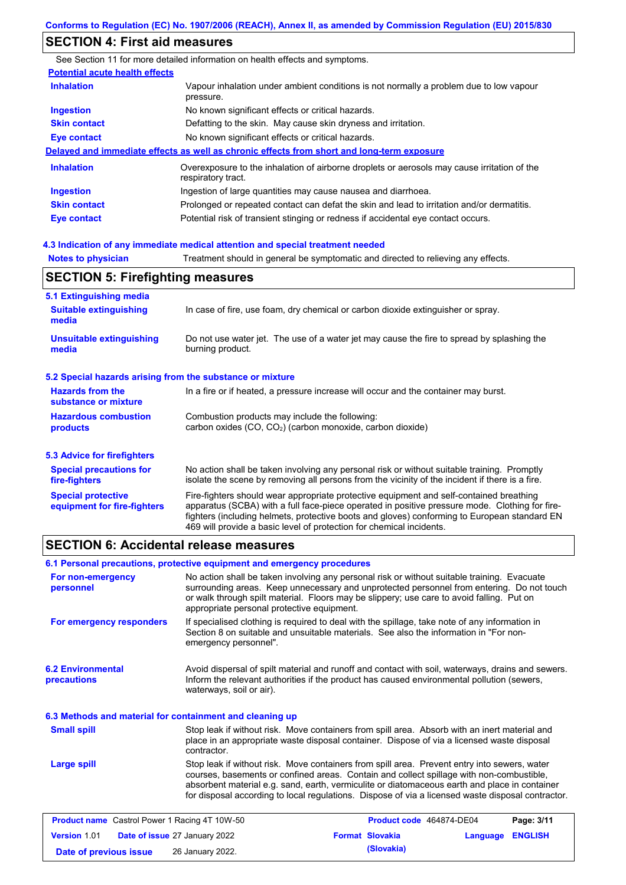# **SECTION 4: First aid measures**

| SECTION 4. FIISLAIU IIIEASUIES                            |                                                                                                                                                                                                                                                                                                                                                                   |
|-----------------------------------------------------------|-------------------------------------------------------------------------------------------------------------------------------------------------------------------------------------------------------------------------------------------------------------------------------------------------------------------------------------------------------------------|
|                                                           | See Section 11 for more detailed information on health effects and symptoms.                                                                                                                                                                                                                                                                                      |
| <b>Potential acute health effects</b>                     |                                                                                                                                                                                                                                                                                                                                                                   |
| <b>Inhalation</b>                                         | Vapour inhalation under ambient conditions is not normally a problem due to low vapour<br>pressure.                                                                                                                                                                                                                                                               |
| <b>Ingestion</b>                                          | No known significant effects or critical hazards.                                                                                                                                                                                                                                                                                                                 |
| <b>Skin contact</b>                                       | Defatting to the skin. May cause skin dryness and irritation.                                                                                                                                                                                                                                                                                                     |
| <b>Eye contact</b>                                        | No known significant effects or critical hazards.                                                                                                                                                                                                                                                                                                                 |
|                                                           | Delayed and immediate effects as well as chronic effects from short and long-term exposure                                                                                                                                                                                                                                                                        |
| <b>Inhalation</b>                                         | Overexposure to the inhalation of airborne droplets or aerosols may cause irritation of the<br>respiratory tract.                                                                                                                                                                                                                                                 |
| <b>Ingestion</b>                                          | Ingestion of large quantities may cause nausea and diarrhoea.                                                                                                                                                                                                                                                                                                     |
| <b>Skin contact</b>                                       | Prolonged or repeated contact can defat the skin and lead to irritation and/or dermatitis.                                                                                                                                                                                                                                                                        |
| <b>Eye contact</b>                                        | Potential risk of transient stinging or redness if accidental eye contact occurs.                                                                                                                                                                                                                                                                                 |
|                                                           | 4.3 Indication of any immediate medical attention and special treatment needed                                                                                                                                                                                                                                                                                    |
| <b>Notes to physician</b>                                 | Treatment should in general be symptomatic and directed to relieving any effects.                                                                                                                                                                                                                                                                                 |
| <b>SECTION 5: Firefighting measures</b>                   |                                                                                                                                                                                                                                                                                                                                                                   |
| 5.1 Extinguishing media                                   |                                                                                                                                                                                                                                                                                                                                                                   |
| <b>Suitable extinguishing</b><br>media                    | In case of fire, use foam, dry chemical or carbon dioxide extinguisher or spray.                                                                                                                                                                                                                                                                                  |
| <b>Unsuitable extinguishing</b><br>media                  | Do not use water jet. The use of a water jet may cause the fire to spread by splashing the<br>burning product.                                                                                                                                                                                                                                                    |
| 5.2 Special hazards arising from the substance or mixture |                                                                                                                                                                                                                                                                                                                                                                   |
| <b>Hazards from the</b><br>substance or mixture           | In a fire or if heated, a pressure increase will occur and the container may burst.                                                                                                                                                                                                                                                                               |
| <b>Hazardous combustion</b><br>products                   | Combustion products may include the following:<br>carbon oxides (CO, CO <sub>2</sub> ) (carbon monoxide, carbon dioxide)                                                                                                                                                                                                                                          |
| <b>5.3 Advice for firefighters</b>                        |                                                                                                                                                                                                                                                                                                                                                                   |
| <b>Special precautions for</b><br>fire-fighters           | No action shall be taken involving any personal risk or without suitable training. Promptly<br>isolate the scene by removing all persons from the vicinity of the incident if there is a fire.                                                                                                                                                                    |
| <b>Special protective</b><br>equipment for fire-fighters  | Fire-fighters should wear appropriate protective equipment and self-contained breathing<br>apparatus (SCBA) with a full face-piece operated in positive pressure mode. Clothing for fire-<br>fighters (including helmets, protective boots and gloves) conforming to European standard EN<br>469 will provide a basic level of protection for chemical incidents. |

## **SECTION 6: Accidental release measures**

|                                                          | 6.1 Personal precautions, protective equipment and emergency procedures |                                                                                                                                                                                                                                                                                                                                                                                                |                         |            |
|----------------------------------------------------------|-------------------------------------------------------------------------|------------------------------------------------------------------------------------------------------------------------------------------------------------------------------------------------------------------------------------------------------------------------------------------------------------------------------------------------------------------------------------------------|-------------------------|------------|
| For non-emergency<br>personnel                           | appropriate personal protective equipment.                              | No action shall be taken involving any personal risk or without suitable training. Evacuate<br>surrounding areas. Keep unnecessary and unprotected personnel from entering. Do not touch<br>or walk through spilt material. Floors may be slippery; use care to avoid falling. Put on                                                                                                          |                         |            |
| For emergency responders                                 | emergency personnel".                                                   | If specialised clothing is required to deal with the spillage, take note of any information in<br>Section 8 on suitable and unsuitable materials. See also the information in "For non-                                                                                                                                                                                                        |                         |            |
| <b>6.2 Environmental</b><br>precautions                  | waterways, soil or air).                                                | Avoid dispersal of spilt material and runoff and contact with soil, waterways, drains and sewers.<br>Inform the relevant authorities if the product has caused environmental pollution (sewers,                                                                                                                                                                                                |                         |            |
| 6.3 Methods and material for containment and cleaning up |                                                                         |                                                                                                                                                                                                                                                                                                                                                                                                |                         |            |
| <b>Small spill</b>                                       | contractor.                                                             | Stop leak if without risk. Move containers from spill area. Absorb with an inert material and<br>place in an appropriate waste disposal container. Dispose of via a licensed waste disposal                                                                                                                                                                                                    |                         |            |
| <b>Large spill</b>                                       |                                                                         | Stop leak if without risk. Move containers from spill area. Prevent entry into sewers, water<br>courses, basements or confined areas. Contain and collect spillage with non-combustible,<br>absorbent material e.g. sand, earth, vermiculite or diatomaceous earth and place in container<br>for disposal according to local regulations. Dispose of via a licensed waste disposal contractor. |                         |            |
| <b>Product name</b> Castrol Power 1 Racing 4T 10W-50     |                                                                         | Product code 464874-DE04                                                                                                                                                                                                                                                                                                                                                                       |                         | Page: 3/11 |
| Date of issue 27 January 2022<br><b>Version 1.01</b>     |                                                                         | <b>Format Slovakia</b>                                                                                                                                                                                                                                                                                                                                                                         | <b>Language ENGLISH</b> |            |

**Date of previous issue (Slovakia)** 26 January 2022.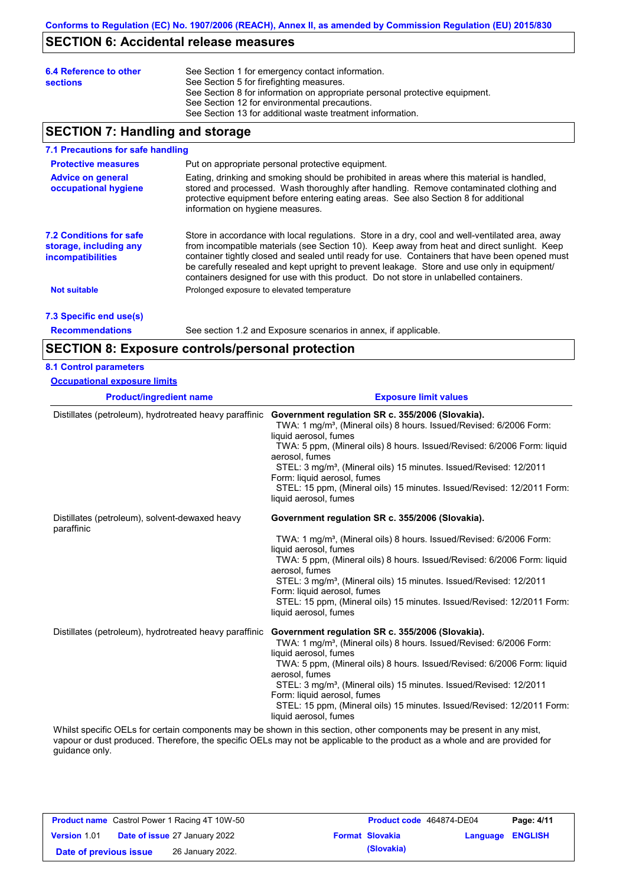## **SECTION 6: Accidental release measures**

| 6.4 Reference to other<br><b>sections</b> | See Section 1 for emergency contact information.<br>See Section 5 for firefighting measures.<br>See Section 8 for information on appropriate personal protective equipment.<br>See Section 12 for environmental precautions.<br>See Section 13 for additional waste treatment information. |
|-------------------------------------------|--------------------------------------------------------------------------------------------------------------------------------------------------------------------------------------------------------------------------------------------------------------------------------------------|
|                                           |                                                                                                                                                                                                                                                                                            |

## **SECTION 7: Handling and storage**

#### Store in accordance with local regulations. Store in a dry, cool and well-ventilated area, away from incompatible materials (see Section 10). Keep away from heat and direct sunlight. Keep container tightly closed and sealed until ready for use. Containers that have been opened must be carefully resealed and kept upright to prevent leakage. Store and use only in equipment/ containers designed for use with this product. Do not store in unlabelled containers. **7.1 Precautions for safe handling Protective measures Advice on general occupational hygiene 7.2 Conditions for safe storage, including any incompatibilities 7.3 Specific end use(s)** Put on appropriate personal protective equipment. Eating, drinking and smoking should be prohibited in areas where this material is handled, stored and processed. Wash thoroughly after handling. Remove contaminated clothing and protective equipment before entering eating areas. See also Section 8 for additional information on hygiene measures. **Not suitable Not suitable** Prolonged exposure to elevated temperature

**Recommendations**

See section 1.2 and Exposure scenarios in annex, if applicable.

## **SECTION 8: Exposure controls/personal protection**

| <b>Occupational exposure limits</b>                          |                                                                                                                                                                                                                                                                                                                                                                                                                                                                               |
|--------------------------------------------------------------|-------------------------------------------------------------------------------------------------------------------------------------------------------------------------------------------------------------------------------------------------------------------------------------------------------------------------------------------------------------------------------------------------------------------------------------------------------------------------------|
| <b>Product/ingredient name</b>                               | <b>Exposure limit values</b>                                                                                                                                                                                                                                                                                                                                                                                                                                                  |
| Distillates (petroleum), hydrotreated heavy paraffinic       | Government regulation SR c. 355/2006 (Slovakia).<br>TWA: 1 mg/m <sup>3</sup> , (Mineral oils) 8 hours. Issued/Revised: 6/2006 Form:<br>liquid aerosol, fumes<br>TWA: 5 ppm, (Mineral oils) 8 hours. Issued/Revised: 6/2006 Form: liquid<br>aerosol, fumes<br>STEL: 3 mg/m <sup>3</sup> , (Mineral oils) 15 minutes. Issued/Revised: 12/2011<br>Form: liquid aerosol, fumes<br>STEL: 15 ppm, (Mineral oils) 15 minutes. Issued/Revised: 12/2011 Form:<br>liquid aerosol, fumes |
| Distillates (petroleum), solvent-dewaxed heavy<br>paraffinic | Government regulation SR c. 355/2006 (Slovakia).<br>TWA: 1 mg/m <sup>3</sup> , (Mineral oils) 8 hours. Issued/Revised: 6/2006 Form:<br>liquid aerosol, fumes<br>TWA: 5 ppm, (Mineral oils) 8 hours. Issued/Revised: 6/2006 Form: liquid<br>aerosol, fumes<br>STEL: 3 mg/m <sup>3</sup> , (Mineral oils) 15 minutes. Issued/Revised: 12/2011<br>Form: liquid aerosol, fumes<br>STEL: 15 ppm, (Mineral oils) 15 minutes. Issued/Revised: 12/2011 Form:<br>liquid aerosol, fumes |
| Distillates (petroleum), hydrotreated heavy paraffinic       | Government regulation SR c. 355/2006 (Slovakia).<br>TWA: 1 mg/m <sup>3</sup> , (Mineral oils) 8 hours. Issued/Revised: 6/2006 Form:<br>liquid aerosol, fumes<br>TWA: 5 ppm, (Mineral oils) 8 hours. Issued/Revised: 6/2006 Form: liquid<br>aerosol. fumes<br>STEL: 3 mg/m <sup>3</sup> , (Mineral oils) 15 minutes. Issued/Revised: 12/2011<br>Form: liquid aerosol, fumes<br>STEL: 15 ppm, (Mineral oils) 15 minutes. Issued/Revised: 12/2011 Form:<br>liquid aerosol, fumes |

vapour or dust produced. Therefore, the specific OELs may not be applicable to the product as a whole and are provided for guidance only.

| <b>Product name</b> Castrol Power 1 Racing 4T 10W-50 |  |                                      | <b>Product code</b> 464874-DE04 | Page: 4/11             |                         |
|------------------------------------------------------|--|--------------------------------------|---------------------------------|------------------------|-------------------------|
| <b>Version 1.01</b>                                  |  | <b>Date of issue 27 January 2022</b> |                                 | <b>Format Slovakia</b> | <b>Language ENGLISH</b> |
| Date of previous issue                               |  | 26 January 2022.                     |                                 | (Slovakia)             |                         |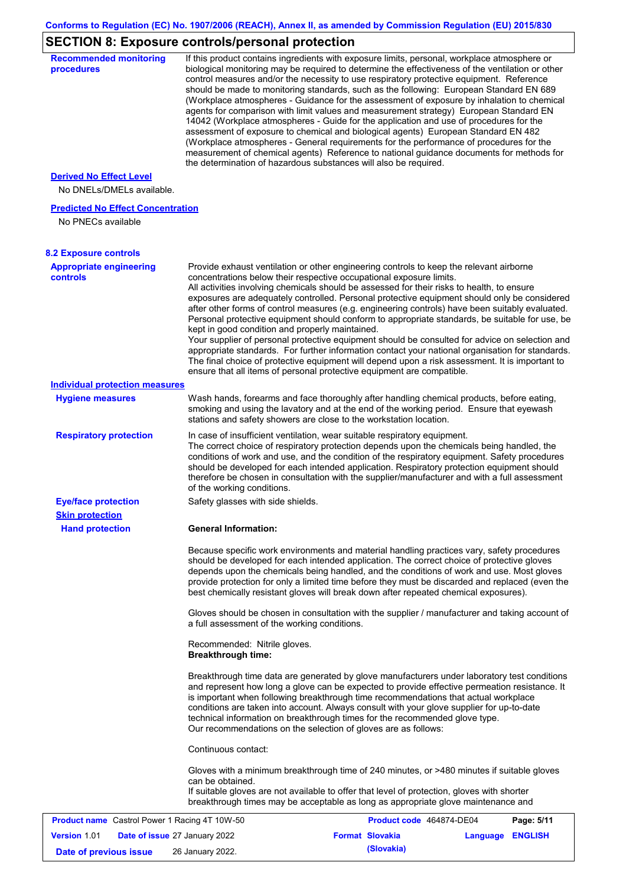# **SECTION 8: Exposure controls/personal protection**

| <b>Recommended monitoring</b><br>procedures                    |                                                           | If this product contains ingredients with exposure limits, personal, workplace atmosphere or<br>biological monitoring may be required to determine the effectiveness of the ventilation or other<br>control measures and/or the necessity to use respiratory protective equipment. Reference<br>should be made to monitoring standards, such as the following: European Standard EN 689<br>(Workplace atmospheres - Guidance for the assessment of exposure by inhalation to chemical<br>agents for comparison with limit values and measurement strategy) European Standard EN<br>14042 (Workplace atmospheres - Guide for the application and use of procedures for the<br>assessment of exposure to chemical and biological agents) European Standard EN 482<br>(Workplace atmospheres - General requirements for the performance of procedures for the<br>measurement of chemical agents) Reference to national guidance documents for methods for<br>the determination of hazardous substances will also be required. |                  |            |
|----------------------------------------------------------------|-----------------------------------------------------------|----------------------------------------------------------------------------------------------------------------------------------------------------------------------------------------------------------------------------------------------------------------------------------------------------------------------------------------------------------------------------------------------------------------------------------------------------------------------------------------------------------------------------------------------------------------------------------------------------------------------------------------------------------------------------------------------------------------------------------------------------------------------------------------------------------------------------------------------------------------------------------------------------------------------------------------------------------------------------------------------------------------------------|------------------|------------|
| <b>Derived No Effect Level</b><br>No DNELs/DMELs available.    |                                                           |                                                                                                                                                                                                                                                                                                                                                                                                                                                                                                                                                                                                                                                                                                                                                                                                                                                                                                                                                                                                                            |                  |            |
| <b>Predicted No Effect Concentration</b><br>No PNECs available |                                                           |                                                                                                                                                                                                                                                                                                                                                                                                                                                                                                                                                                                                                                                                                                                                                                                                                                                                                                                                                                                                                            |                  |            |
| <b>8.2 Exposure controls</b>                                   |                                                           |                                                                                                                                                                                                                                                                                                                                                                                                                                                                                                                                                                                                                                                                                                                                                                                                                                                                                                                                                                                                                            |                  |            |
| <b>Appropriate engineering</b><br><b>controls</b>              | kept in good condition and properly maintained.           | Provide exhaust ventilation or other engineering controls to keep the relevant airborne<br>concentrations below their respective occupational exposure limits.<br>All activities involving chemicals should be assessed for their risks to health, to ensure<br>exposures are adequately controlled. Personal protective equipment should only be considered<br>after other forms of control measures (e.g. engineering controls) have been suitably evaluated.<br>Personal protective equipment should conform to appropriate standards, be suitable for use, be<br>Your supplier of personal protective equipment should be consulted for advice on selection and<br>appropriate standards. For further information contact your national organisation for standards.<br>The final choice of protective equipment will depend upon a risk assessment. It is important to<br>ensure that all items of personal protective equipment are compatible.                                                                       |                  |            |
| <b>Individual protection measures</b>                          |                                                           |                                                                                                                                                                                                                                                                                                                                                                                                                                                                                                                                                                                                                                                                                                                                                                                                                                                                                                                                                                                                                            |                  |            |
| <b>Hygiene measures</b>                                        |                                                           | Wash hands, forearms and face thoroughly after handling chemical products, before eating,<br>smoking and using the lavatory and at the end of the working period. Ensure that eyewash<br>stations and safety showers are close to the workstation location.                                                                                                                                                                                                                                                                                                                                                                                                                                                                                                                                                                                                                                                                                                                                                                |                  |            |
| <b>Respiratory protection</b>                                  | of the working conditions.                                | In case of insufficient ventilation, wear suitable respiratory equipment.<br>The correct choice of respiratory protection depends upon the chemicals being handled, the<br>conditions of work and use, and the condition of the respiratory equipment. Safety procedures<br>should be developed for each intended application. Respiratory protection equipment should<br>therefore be chosen in consultation with the supplier/manufacturer and with a full assessment                                                                                                                                                                                                                                                                                                                                                                                                                                                                                                                                                    |                  |            |
| <b>Eye/face protection</b>                                     | Safety glasses with side shields.                         |                                                                                                                                                                                                                                                                                                                                                                                                                                                                                                                                                                                                                                                                                                                                                                                                                                                                                                                                                                                                                            |                  |            |
| <b>Skin protection</b>                                         |                                                           |                                                                                                                                                                                                                                                                                                                                                                                                                                                                                                                                                                                                                                                                                                                                                                                                                                                                                                                                                                                                                            |                  |            |
| <b>Hand protection</b>                                         | <b>General Information:</b>                               |                                                                                                                                                                                                                                                                                                                                                                                                                                                                                                                                                                                                                                                                                                                                                                                                                                                                                                                                                                                                                            |                  |            |
|                                                                |                                                           | Because specific work environments and material handling practices vary, safety procedures<br>should be developed for each intended application. The correct choice of protective gloves<br>depends upon the chemicals being handled, and the conditions of work and use. Most gloves<br>provide protection for only a limited time before they must be discarded and replaced (even the<br>best chemically resistant gloves will break down after repeated chemical exposures).<br>Gloves should be chosen in consultation with the supplier / manufacturer and taking account of                                                                                                                                                                                                                                                                                                                                                                                                                                         |                  |            |
|                                                                | a full assessment of the working conditions.              |                                                                                                                                                                                                                                                                                                                                                                                                                                                                                                                                                                                                                                                                                                                                                                                                                                                                                                                                                                                                                            |                  |            |
|                                                                | Recommended: Nitrile gloves.<br><b>Breakthrough time:</b> |                                                                                                                                                                                                                                                                                                                                                                                                                                                                                                                                                                                                                                                                                                                                                                                                                                                                                                                                                                                                                            |                  |            |
|                                                                |                                                           | Breakthrough time data are generated by glove manufacturers under laboratory test conditions<br>and represent how long a glove can be expected to provide effective permeation resistance. It<br>is important when following breakthrough time recommendations that actual workplace<br>conditions are taken into account. Always consult with your glove supplier for up-to-date<br>technical information on breakthrough times for the recommended glove type.<br>Our recommendations on the selection of gloves are as follows:                                                                                                                                                                                                                                                                                                                                                                                                                                                                                         |                  |            |
|                                                                | Continuous contact:                                       |                                                                                                                                                                                                                                                                                                                                                                                                                                                                                                                                                                                                                                                                                                                                                                                                                                                                                                                                                                                                                            |                  |            |
|                                                                | can be obtained.                                          | Gloves with a minimum breakthrough time of 240 minutes, or >480 minutes if suitable gloves<br>If suitable gloves are not available to offer that level of protection, gloves with shorter<br>breakthrough times may be acceptable as long as appropriate glove maintenance and                                                                                                                                                                                                                                                                                                                                                                                                                                                                                                                                                                                                                                                                                                                                             |                  |            |
| <b>Product name</b> Castrol Power 1 Racing 4T 10W-50           |                                                           | Product code 464874-DE04                                                                                                                                                                                                                                                                                                                                                                                                                                                                                                                                                                                                                                                                                                                                                                                                                                                                                                                                                                                                   |                  | Page: 5/11 |
| <b>Version 1.01</b><br>Date of issue 27 January 2022           |                                                           | <b>Format Slovakia</b>                                                                                                                                                                                                                                                                                                                                                                                                                                                                                                                                                                                                                                                                                                                                                                                                                                                                                                                                                                                                     | Language ENGLISH |            |
| Date of previous issue                                         | 26 January 2022.                                          | (Slovakia)                                                                                                                                                                                                                                                                                                                                                                                                                                                                                                                                                                                                                                                                                                                                                                                                                                                                                                                                                                                                                 |                  |            |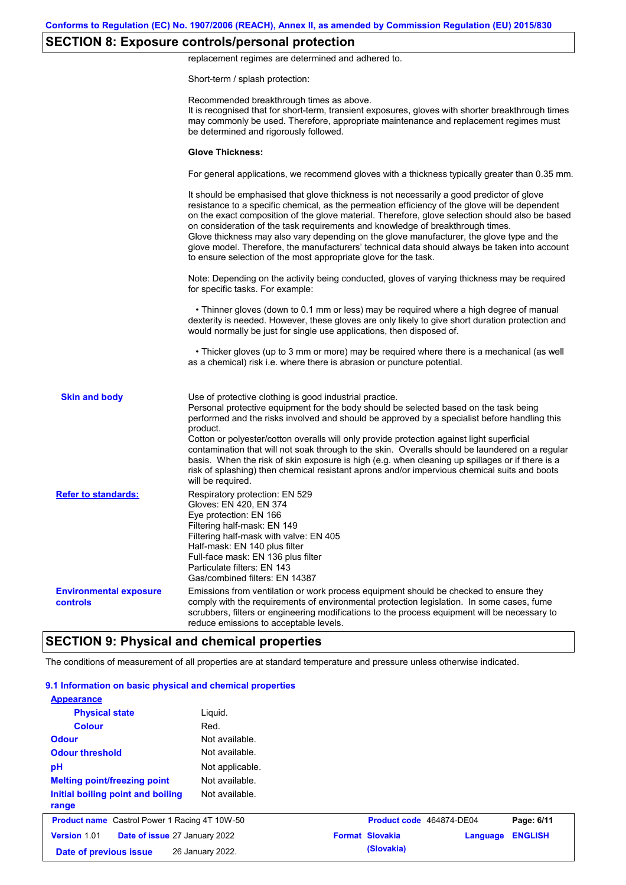## **SECTION 8: Exposure controls/personal protection**

replacement regimes are determined and adhered to.

Short-term / splash protection:

|                                           | Recommended breakthrough times as above.<br>It is recognised that for short-term, transient exposures, gloves with shorter breakthrough times<br>may commonly be used. Therefore, appropriate maintenance and replacement regimes must<br>be determined and rigorously followed.                                                                                                                                                                                                                                                                                                                                                                                                      |
|-------------------------------------------|---------------------------------------------------------------------------------------------------------------------------------------------------------------------------------------------------------------------------------------------------------------------------------------------------------------------------------------------------------------------------------------------------------------------------------------------------------------------------------------------------------------------------------------------------------------------------------------------------------------------------------------------------------------------------------------|
|                                           | <b>Glove Thickness:</b>                                                                                                                                                                                                                                                                                                                                                                                                                                                                                                                                                                                                                                                               |
|                                           | For general applications, we recommend gloves with a thickness typically greater than 0.35 mm.                                                                                                                                                                                                                                                                                                                                                                                                                                                                                                                                                                                        |
|                                           | It should be emphasised that glove thickness is not necessarily a good predictor of glove<br>resistance to a specific chemical, as the permeation efficiency of the glove will be dependent<br>on the exact composition of the glove material. Therefore, glove selection should also be based<br>on consideration of the task requirements and knowledge of breakthrough times.<br>Glove thickness may also vary depending on the glove manufacturer, the glove type and the<br>glove model. Therefore, the manufacturers' technical data should always be taken into account<br>to ensure selection of the most appropriate glove for the task.                                     |
|                                           | Note: Depending on the activity being conducted, gloves of varying thickness may be required<br>for specific tasks. For example:                                                                                                                                                                                                                                                                                                                                                                                                                                                                                                                                                      |
|                                           | • Thinner gloves (down to 0.1 mm or less) may be required where a high degree of manual<br>dexterity is needed. However, these gloves are only likely to give short duration protection and<br>would normally be just for single use applications, then disposed of.                                                                                                                                                                                                                                                                                                                                                                                                                  |
|                                           | • Thicker gloves (up to 3 mm or more) may be required where there is a mechanical (as well<br>as a chemical) risk i.e. where there is abrasion or puncture potential.                                                                                                                                                                                                                                                                                                                                                                                                                                                                                                                 |
| <b>Skin and body</b>                      | Use of protective clothing is good industrial practice.<br>Personal protective equipment for the body should be selected based on the task being<br>performed and the risks involved and should be approved by a specialist before handling this<br>product.<br>Cotton or polyester/cotton overalls will only provide protection against light superficial<br>contamination that will not soak through to the skin. Overalls should be laundered on a regular<br>basis. When the risk of skin exposure is high (e.g. when cleaning up spillages or if there is a<br>risk of splashing) then chemical resistant aprons and/or impervious chemical suits and boots<br>will be required. |
| <b>Refer to standards:</b>                | Respiratory protection: EN 529<br>Gloves: EN 420, EN 374<br>Eye protection: EN 166<br>Filtering half-mask: EN 149<br>Filtering half-mask with valve: EN 405<br>Half-mask: EN 140 plus filter<br>Full-face mask: EN 136 plus filter<br>Particulate filters: EN 143<br>Gas/combined filters: EN 14387                                                                                                                                                                                                                                                                                                                                                                                   |
| <b>Environmental exposure</b><br>controls | Emissions from ventilation or work process equipment should be checked to ensure they<br>comply with the requirements of environmental protection legislation. In some cases, fume<br>scrubbers, filters or engineering modifications to the process equipment will be necessary to<br>reduce emissions to acceptable levels.                                                                                                                                                                                                                                                                                                                                                         |

The conditions of measurement of all properties are at standard temperature and pressure unless otherwise indicated.

#### **9.1 Information on basic physical and chemical properties**

| <b>Appearance</b>                                    |                  |                          |          |                |
|------------------------------------------------------|------------------|--------------------------|----------|----------------|
| <b>Physical state</b>                                | Liguid.          |                          |          |                |
| <b>Colour</b>                                        | Red.             |                          |          |                |
| <b>Odour</b>                                         | Not available.   |                          |          |                |
| <b>Odour threshold</b>                               | Not available.   |                          |          |                |
| pH                                                   | Not applicable.  |                          |          |                |
| <b>Melting point/freezing point</b>                  | Not available.   |                          |          |                |
| Initial boiling point and boiling<br>range           | Not available.   |                          |          |                |
| <b>Product name</b> Castrol Power 1 Racing 4T 10W-50 |                  | Product code 464874-DE04 |          | Page: 6/11     |
| <b>Version 1.01</b><br>Date of issue 27 January 2022 |                  | <b>Format Slovakia</b>   | Language | <b>ENGLISH</b> |
| Date of previous issue                               | 26 January 2022. | (Slovakia)               |          |                |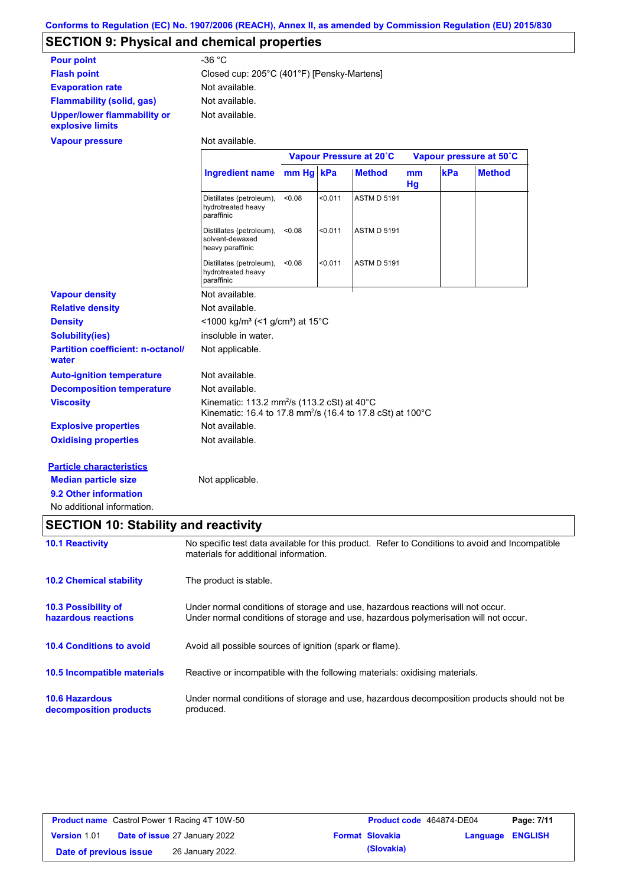# **SECTION 9: Physical and chemical properties**

| <b>Pour point</b>                               | -36 °C                                     |
|-------------------------------------------------|--------------------------------------------|
| <b>Flash point</b>                              | Closed cup: 205°C (401°F) [Pensky-Martens] |
| <b>Evaporation rate</b>                         | Not available.                             |
| <b>Flammability (solid, gas)</b>                | Not available.                             |
| Upper/lower flammability or<br>explosive limits | Not available.                             |

#### **Vapour pressure**

Not available.

|                                                   |                                                                                                                                              | Vapour Pressure at 20°C |         |                    | Vapour pressure at 50°C |     |               |
|---------------------------------------------------|----------------------------------------------------------------------------------------------------------------------------------------------|-------------------------|---------|--------------------|-------------------------|-----|---------------|
|                                                   | Ingredient name mm Hg kPa                                                                                                                    |                         |         | <b>Method</b>      | <sub>mm</sub><br>Hg     | kPa | <b>Method</b> |
|                                                   | Distillates (petroleum),<br>hydrotreated heavy<br>paraffinic                                                                                 | < 0.08                  | < 0.011 | <b>ASTM D 5191</b> |                         |     |               |
|                                                   | Distillates (petroleum),<br>solvent-dewaxed<br>heavy paraffinic                                                                              | < 0.08                  | < 0.011 | <b>ASTM D 5191</b> |                         |     |               |
|                                                   | Distillates (petroleum),<br>hydrotreated heavy<br>paraffinic                                                                                 | < 0.08                  | < 0.011 | <b>ASTM D 5191</b> |                         |     |               |
| <b>Vapour density</b>                             | Not available.                                                                                                                               |                         |         |                    |                         |     |               |
| <b>Relative density</b>                           | Not available.                                                                                                                               |                         |         |                    |                         |     |               |
| <b>Density</b>                                    | <1000 kg/m <sup>3</sup> (<1 g/cm <sup>3</sup> ) at 15 <sup>°</sup> C                                                                         |                         |         |                    |                         |     |               |
| <b>Solubility(ies)</b>                            | insoluble in water.                                                                                                                          |                         |         |                    |                         |     |               |
| <b>Partition coefficient: n-octanol/</b><br>water | Not applicable.                                                                                                                              |                         |         |                    |                         |     |               |
| <b>Auto-ignition temperature</b>                  | Not available.                                                                                                                               |                         |         |                    |                         |     |               |
| <b>Decomposition temperature</b>                  | Not available.                                                                                                                               |                         |         |                    |                         |     |               |
| <b>Viscosity</b>                                  | Kinematic: 113.2 mm <sup>2</sup> /s (113.2 cSt) at $40^{\circ}$ C<br>Kinematic: 16.4 to 17.8 mm <sup>2</sup> /s (16.4 to 17.8 cSt) at 100 °C |                         |         |                    |                         |     |               |
| <b>Explosive properties</b>                       | Not available.                                                                                                                               |                         |         |                    |                         |     |               |
| <b>Oxidising properties</b>                       | Not available.                                                                                                                               |                         |         |                    |                         |     |               |
| <b>Particle characteristics</b>                   |                                                                                                                                              |                         |         |                    |                         |     |               |
| <b>Median particle size</b>                       | Not applicable.                                                                                                                              |                         |         |                    |                         |     |               |
| 9.2 Other information                             |                                                                                                                                              |                         |         |                    |                         |     |               |

No additional information.

# **SECTION 10: Stability and reactivity**

| <b>10.1 Reactivity</b>                            | No specific test data available for this product. Refer to Conditions to avoid and Incompatible<br>materials for additional information.                                |
|---------------------------------------------------|-------------------------------------------------------------------------------------------------------------------------------------------------------------------------|
| <b>10.2 Chemical stability</b>                    | The product is stable.                                                                                                                                                  |
| <b>10.3 Possibility of</b><br>hazardous reactions | Under normal conditions of storage and use, hazardous reactions will not occur.<br>Under normal conditions of storage and use, hazardous polymerisation will not occur. |
| <b>10.4 Conditions to avoid</b>                   | Avoid all possible sources of ignition (spark or flame).                                                                                                                |
| 10.5 Incompatible materials                       | Reactive or incompatible with the following materials: oxidising materials.                                                                                             |
| <b>10.6 Hazardous</b><br>decomposition products   | Under normal conditions of storage and use, hazardous decomposition products should not be<br>produced.                                                                 |

| <b>Product name</b> Castrol Power 1 Racing 4T 10W-50 |                                      | Product code 464874-DE04 |                        | Page: 7/11              |  |
|------------------------------------------------------|--------------------------------------|--------------------------|------------------------|-------------------------|--|
| <b>Version 1.01</b>                                  | <b>Date of issue 27 January 2022</b> |                          | <b>Format Slovakia</b> | <b>Language ENGLISH</b> |  |
| Date of previous issue                               | 26 January 2022.                     |                          | (Slovakia)             |                         |  |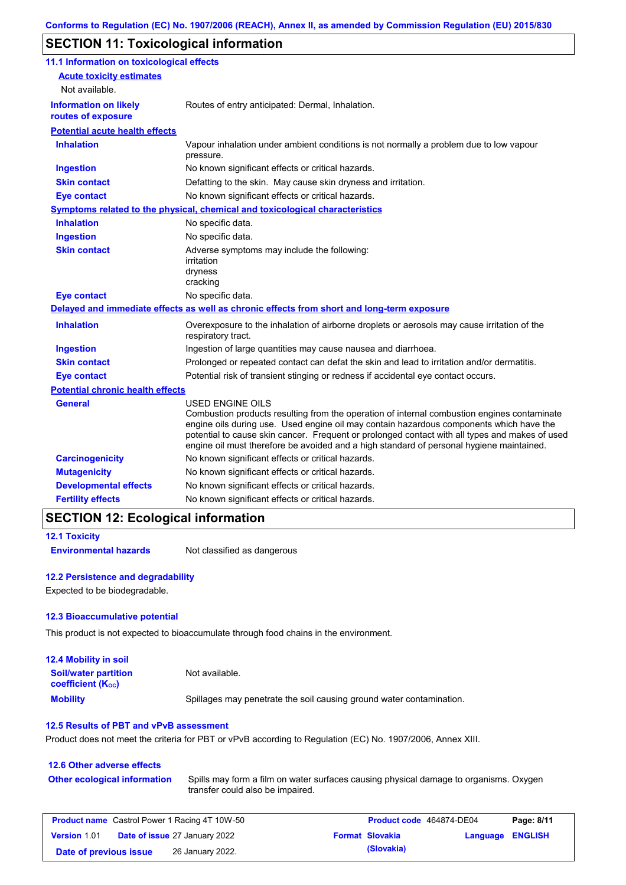## **SECTION 11: Toxicological information**

| 11.1 Information on toxicological effects          |                                                                                                                                                                                                                                                                                                                                                                                                                 |
|----------------------------------------------------|-----------------------------------------------------------------------------------------------------------------------------------------------------------------------------------------------------------------------------------------------------------------------------------------------------------------------------------------------------------------------------------------------------------------|
| <b>Acute toxicity estimates</b><br>Not available.  |                                                                                                                                                                                                                                                                                                                                                                                                                 |
| <b>Information on likely</b><br>routes of exposure | Routes of entry anticipated: Dermal, Inhalation.                                                                                                                                                                                                                                                                                                                                                                |
| <b>Potential acute health effects</b>              |                                                                                                                                                                                                                                                                                                                                                                                                                 |
| <b>Inhalation</b>                                  | Vapour inhalation under ambient conditions is not normally a problem due to low vapour<br>pressure.                                                                                                                                                                                                                                                                                                             |
| <b>Ingestion</b>                                   | No known significant effects or critical hazards.                                                                                                                                                                                                                                                                                                                                                               |
| <b>Skin contact</b>                                | Defatting to the skin. May cause skin dryness and irritation.                                                                                                                                                                                                                                                                                                                                                   |
| <b>Eye contact</b>                                 | No known significant effects or critical hazards.                                                                                                                                                                                                                                                                                                                                                               |
|                                                    | <b>Symptoms related to the physical, chemical and toxicological characteristics</b>                                                                                                                                                                                                                                                                                                                             |
| <b>Inhalation</b>                                  | No specific data.                                                                                                                                                                                                                                                                                                                                                                                               |
| <b>Ingestion</b>                                   | No specific data.                                                                                                                                                                                                                                                                                                                                                                                               |
| <b>Skin contact</b>                                | Adverse symptoms may include the following:<br>irritation<br>dryness<br>cracking                                                                                                                                                                                                                                                                                                                                |
| <b>Eye contact</b>                                 | No specific data.                                                                                                                                                                                                                                                                                                                                                                                               |
|                                                    | Delayed and immediate effects as well as chronic effects from short and long-term exposure                                                                                                                                                                                                                                                                                                                      |
| <b>Inhalation</b>                                  | Overexposure to the inhalation of airborne droplets or aerosols may cause irritation of the<br>respiratory tract.                                                                                                                                                                                                                                                                                               |
| <b>Ingestion</b>                                   | Ingestion of large quantities may cause nausea and diarrhoea.                                                                                                                                                                                                                                                                                                                                                   |
| <b>Skin contact</b>                                | Prolonged or repeated contact can defat the skin and lead to irritation and/or dermatitis.                                                                                                                                                                                                                                                                                                                      |
| <b>Eye contact</b>                                 | Potential risk of transient stinging or redness if accidental eye contact occurs.                                                                                                                                                                                                                                                                                                                               |
| <b>Potential chronic health effects</b>            |                                                                                                                                                                                                                                                                                                                                                                                                                 |
| General                                            | <b>USED ENGINE OILS</b><br>Combustion products resulting from the operation of internal combustion engines contaminate<br>engine oils during use. Used engine oil may contain hazardous components which have the<br>potential to cause skin cancer. Frequent or prolonged contact with all types and makes of used<br>engine oil must therefore be avoided and a high standard of personal hygiene maintained. |
| <b>Carcinogenicity</b>                             | No known significant effects or critical hazards.                                                                                                                                                                                                                                                                                                                                                               |
| <b>Mutagenicity</b>                                | No known significant effects or critical hazards.                                                                                                                                                                                                                                                                                                                                                               |
| <b>Developmental effects</b>                       | No known significant effects or critical hazards.                                                                                                                                                                                                                                                                                                                                                               |
| <b>Fertility effects</b>                           | No known significant effects or critical hazards.                                                                                                                                                                                                                                                                                                                                                               |

### **SECTION 12: Ecological information**

```
12.1 Toxicity
```
**Environmental hazards** Not classified as dangerous

#### **12.2 Persistence and degradability**

Expected to be biodegradable.

#### **12.3 Bioaccumulative potential**

This product is not expected to bioaccumulate through food chains in the environment.

| <b>12.4 Mobility in soil</b>                            |                                                                      |
|---------------------------------------------------------|----------------------------------------------------------------------|
| <b>Soil/water partition</b><br><b>coefficient (Koc)</b> | Not available.                                                       |
| <b>Mobility</b>                                         | Spillages may penetrate the soil causing ground water contamination. |

#### **12.5 Results of PBT and vPvB assessment**

Product does not meet the criteria for PBT or vPvB according to Regulation (EC) No. 1907/2006, Annex XIII.

#### **12.6 Other adverse effects Other ecological information**

Spills may form a film on water surfaces causing physical damage to organisms. Oxygen transfer could also be impaired.

| <b>Product name</b> Castrol Power 1 Racing 4T 10W-50 |  |                                      | Product code 464874-DE04 |                        | Page: 8/11              |  |
|------------------------------------------------------|--|--------------------------------------|--------------------------|------------------------|-------------------------|--|
| <b>Version 1.01</b>                                  |  | <b>Date of issue 27 January 2022</b> |                          | <b>Format Slovakia</b> | <b>Language ENGLISH</b> |  |
| Date of previous issue                               |  | 26 January 2022.                     |                          | (Slovakia)             |                         |  |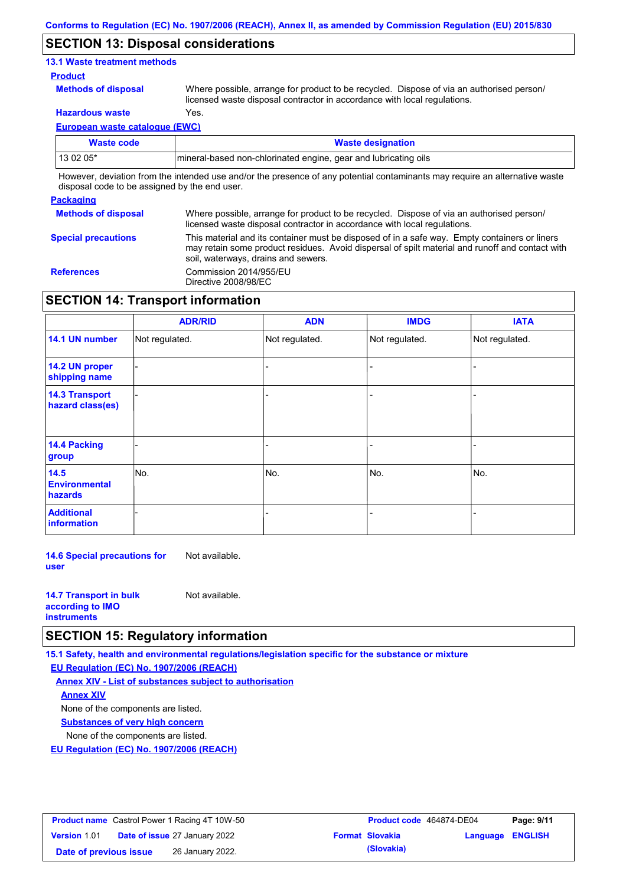### **SECTION 13: Disposal considerations**

#### **13.1 Waste treatment methods**

#### **Product**

**Methods of disposal**

Where possible, arrange for product to be recycled. Dispose of via an authorised person/ licensed waste disposal contractor in accordance with local regulations.

**Hazardous waste** Yes.

**European waste catalogue (EWC)**

| Waste code                                                                                                                  | <b>Waste designation</b>                                         |  |  |  |
|-----------------------------------------------------------------------------------------------------------------------------|------------------------------------------------------------------|--|--|--|
| $130205*$                                                                                                                   | Imineral-based non-chlorinated engine, gear and lubricating oils |  |  |  |
| However, deviation from the intended use and/or the presence of any potential contaminants may require an alternative waste |                                                                  |  |  |  |

disposal code to be assigned by the end user.

## **Packaging**

| <b>Methods of disposal</b> | Where possible, arrange for product to be recycled. Dispose of via an authorised person/<br>licensed waste disposal contractor in accordance with local regulations.                                                                    |
|----------------------------|-----------------------------------------------------------------------------------------------------------------------------------------------------------------------------------------------------------------------------------------|
| <b>Special precautions</b> | This material and its container must be disposed of in a safe way. Empty containers or liners<br>may retain some product residues. Avoid dispersal of spilt material and runoff and contact with<br>soil, waterways, drains and sewers. |
| <b>References</b>          | Commission 2014/955/EU<br>Directive 2008/98/EC                                                                                                                                                                                          |

## **SECTION 14: Transport information**

|                                           | <b>ADR/RID</b> | <b>ADN</b>     | <b>IMDG</b>    | <b>IATA</b>    |
|-------------------------------------------|----------------|----------------|----------------|----------------|
| 14.1 UN number                            | Not regulated. | Not regulated. | Not regulated. | Not regulated. |
| 14.2 UN proper<br>shipping name           |                |                |                |                |
| <b>14.3 Transport</b><br>hazard class(es) |                |                |                |                |
| 14.4 Packing<br>group                     |                |                |                |                |
| 14.5<br><b>Environmental</b><br>hazards   | No.            | No.            | No.            | No.            |
| <b>Additional</b><br>information          |                |                |                |                |

**14.6 Special precautions for user** Not available.

| <b>14.7 Transport in bulk</b> | Not available. |
|-------------------------------|----------------|
| according to <b>IMO</b>       |                |
| <b>instruments</b>            |                |

## **SECTION 15: Regulatory information**

**15.1 Safety, health and environmental regulations/legislation specific for the substance or mixture**

**EU Regulation (EC) No. 1907/2006 (REACH)**

**Annex XIV - List of substances subject to authorisation Substances of very high concern** None of the components are listed. None of the components are listed. **Annex XIV**

**EU Regulation (EC) No. 1907/2006 (REACH)**

| <b>Product name</b> Castrol Power 1 Racing 4T 10W-50 |  | Product code 464874-DE04             |  | Page: 9/11             |                         |  |
|------------------------------------------------------|--|--------------------------------------|--|------------------------|-------------------------|--|
| <b>Version 1.01</b>                                  |  | <b>Date of issue 27 January 2022</b> |  | <b>Format Slovakia</b> | <b>Language ENGLISH</b> |  |
| Date of previous issue                               |  | 26 January 2022.                     |  | (Slovakia)             |                         |  |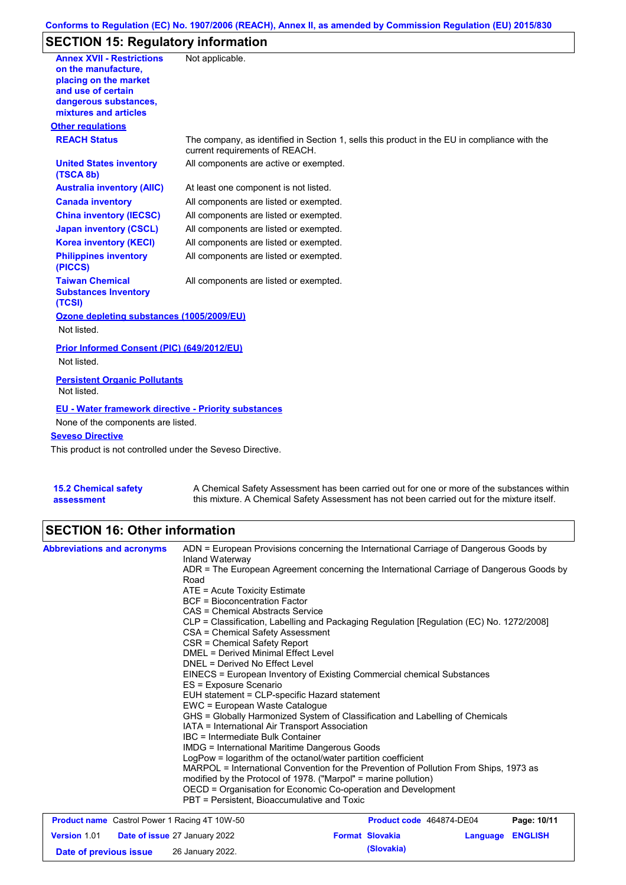## **Conforms to Regulation (EC) No. 1907/2006 (REACH), Annex II, as amended by Commission Regulation (EU) 2015/830**

# **SECTION 15: Regulatory information**

| <b>Annex XVII - Restrictions</b><br>on the manufacture.<br>placing on the market<br>and use of certain<br>dangerous substances,<br>mixtures and articles | Not applicable.                                                                                                                |
|----------------------------------------------------------------------------------------------------------------------------------------------------------|--------------------------------------------------------------------------------------------------------------------------------|
| <b>Other regulations</b>                                                                                                                                 |                                                                                                                                |
| <b>REACH Status</b>                                                                                                                                      | The company, as identified in Section 1, sells this product in the EU in compliance with the<br>current requirements of REACH. |
| <b>United States inventory</b><br>(TSCA 8b)                                                                                                              | All components are active or exempted.                                                                                         |
| <b>Australia inventory (AIIC)</b>                                                                                                                        | At least one component is not listed.                                                                                          |
| <b>Canada inventory</b>                                                                                                                                  | All components are listed or exempted.                                                                                         |
| <b>China inventory (IECSC)</b>                                                                                                                           | All components are listed or exempted.                                                                                         |
| <b>Japan inventory (CSCL)</b>                                                                                                                            | All components are listed or exempted.                                                                                         |
| <b>Korea inventory (KECI)</b>                                                                                                                            | All components are listed or exempted.                                                                                         |
| <b>Philippines inventory</b><br>(PICCS)                                                                                                                  | All components are listed or exempted.                                                                                         |
| <b>Taiwan Chemical</b><br><b>Substances Inventory</b><br>(TCSI)                                                                                          | All components are listed or exempted.                                                                                         |
| Ozone depleting substances (1005/2009/EU)                                                                                                                |                                                                                                                                |
| Not listed.                                                                                                                                              |                                                                                                                                |
| Prior Informed Consent (PIC) (649/2012/EU)                                                                                                               |                                                                                                                                |
| Not listed.                                                                                                                                              |                                                                                                                                |
| <b>Persistent Organic Pollutants</b><br>Not listed.                                                                                                      |                                                                                                                                |
| <b>EU - Water framework directive - Priority substances</b>                                                                                              |                                                                                                                                |
| None of the components are listed.                                                                                                                       |                                                                                                                                |
| <b>Seveso Directive</b>                                                                                                                                  |                                                                                                                                |
| This product is not controlled under the Seveso Directive.                                                                                               |                                                                                                                                |
|                                                                                                                                                          |                                                                                                                                |

| <b>15.2 Chemical safety</b> | A Chemical Safety Assessment has been carried out for one or more of the substances within  |
|-----------------------------|---------------------------------------------------------------------------------------------|
| assessment                  | this mixture. A Chemical Safety Assessment has not been carried out for the mixture itself. |

## **SECTION 16: Other information**

| <b>Abbreviations and acronyms</b>                    | ADN = European Provisions concerning the International Carriage of Dangerous Goods by<br>Inland Waterway                                                                                                                                                                                                                                                                                                                                                                                                                                                                                                                                                                                                                                                                                             |                          |          |                |  |                                                               |  |  |  |
|------------------------------------------------------|------------------------------------------------------------------------------------------------------------------------------------------------------------------------------------------------------------------------------------------------------------------------------------------------------------------------------------------------------------------------------------------------------------------------------------------------------------------------------------------------------------------------------------------------------------------------------------------------------------------------------------------------------------------------------------------------------------------------------------------------------------------------------------------------------|--------------------------|----------|----------------|--|---------------------------------------------------------------|--|--|--|
|                                                      | ADR = The European Agreement concerning the International Carriage of Dangerous Goods by<br>Road                                                                                                                                                                                                                                                                                                                                                                                                                                                                                                                                                                                                                                                                                                     |                          |          |                |  |                                                               |  |  |  |
|                                                      | $ATE = Acute Toxicity Estimate$<br><b>BCF</b> = Bioconcentration Factor                                                                                                                                                                                                                                                                                                                                                                                                                                                                                                                                                                                                                                                                                                                              |                          |          |                |  |                                                               |  |  |  |
|                                                      |                                                                                                                                                                                                                                                                                                                                                                                                                                                                                                                                                                                                                                                                                                                                                                                                      |                          |          |                |  |                                                               |  |  |  |
|                                                      | CAS = Chemical Abstracts Service                                                                                                                                                                                                                                                                                                                                                                                                                                                                                                                                                                                                                                                                                                                                                                     |                          |          |                |  |                                                               |  |  |  |
|                                                      | CLP = Classification, Labelling and Packaging Regulation [Regulation (EC) No. 1272/2008]                                                                                                                                                                                                                                                                                                                                                                                                                                                                                                                                                                                                                                                                                                             |                          |          |                |  |                                                               |  |  |  |
|                                                      | CSA = Chemical Safety Assessment<br>CSR = Chemical Safety Report<br><b>DMEL = Derived Minimal Effect Level</b><br>DNEL = Derived No Effect Level<br>EINECS = European Inventory of Existing Commercial chemical Substances<br>ES = Exposure Scenario<br>EUH statement = CLP-specific Hazard statement<br>EWC = European Waste Catalogue<br>GHS = Globally Harmonized System of Classification and Labelling of Chemicals<br>IATA = International Air Transport Association<br>IBC = Intermediate Bulk Container<br><b>IMDG</b> = International Maritime Dangerous Goods<br>LogPow = logarithm of the octanol/water partition coefficient<br>MARPOL = International Convention for the Prevention of Pollution From Ships, 1973 as<br>modified by the Protocol of 1978. ("Marpol" = marine pollution) |                          |          |                |  |                                                               |  |  |  |
|                                                      |                                                                                                                                                                                                                                                                                                                                                                                                                                                                                                                                                                                                                                                                                                                                                                                                      |                          |          |                |  |                                                               |  |  |  |
|                                                      |                                                                                                                                                                                                                                                                                                                                                                                                                                                                                                                                                                                                                                                                                                                                                                                                      |                          |          |                |  |                                                               |  |  |  |
|                                                      |                                                                                                                                                                                                                                                                                                                                                                                                                                                                                                                                                                                                                                                                                                                                                                                                      |                          |          |                |  |                                                               |  |  |  |
|                                                      |                                                                                                                                                                                                                                                                                                                                                                                                                                                                                                                                                                                                                                                                                                                                                                                                      |                          |          |                |  |                                                               |  |  |  |
|                                                      |                                                                                                                                                                                                                                                                                                                                                                                                                                                                                                                                                                                                                                                                                                                                                                                                      |                          |          |                |  |                                                               |  |  |  |
|                                                      |                                                                                                                                                                                                                                                                                                                                                                                                                                                                                                                                                                                                                                                                                                                                                                                                      |                          |          |                |  |                                                               |  |  |  |
|                                                      |                                                                                                                                                                                                                                                                                                                                                                                                                                                                                                                                                                                                                                                                                                                                                                                                      |                          |          |                |  |                                                               |  |  |  |
|                                                      |                                                                                                                                                                                                                                                                                                                                                                                                                                                                                                                                                                                                                                                                                                                                                                                                      |                          |          |                |  |                                                               |  |  |  |
|                                                      |                                                                                                                                                                                                                                                                                                                                                                                                                                                                                                                                                                                                                                                                                                                                                                                                      |                          |          |                |  |                                                               |  |  |  |
|                                                      |                                                                                                                                                                                                                                                                                                                                                                                                                                                                                                                                                                                                                                                                                                                                                                                                      |                          |          |                |  |                                                               |  |  |  |
|                                                      |                                                                                                                                                                                                                                                                                                                                                                                                                                                                                                                                                                                                                                                                                                                                                                                                      |                          |          |                |  |                                                               |  |  |  |
|                                                      |                                                                                                                                                                                                                                                                                                                                                                                                                                                                                                                                                                                                                                                                                                                                                                                                      |                          |          |                |  |                                                               |  |  |  |
|                                                      |                                                                                                                                                                                                                                                                                                                                                                                                                                                                                                                                                                                                                                                                                                                                                                                                      |                          |          |                |  | OECD = Organisation for Economic Co-operation and Development |  |  |  |
|                                                      |                                                                                                                                                                                                                                                                                                                                                                                                                                                                                                                                                                                                                                                                                                                                                                                                      |                          |          |                |  | PBT = Persistent, Bioaccumulative and Toxic                   |  |  |  |
| <b>Product name</b> Castrol Power 1 Racing 4T 10W-50 |                                                                                                                                                                                                                                                                                                                                                                                                                                                                                                                                                                                                                                                                                                                                                                                                      | Product code 464874-DE04 |          | Page: 10/11    |  |                                                               |  |  |  |
| <b>Version 1.01</b>                                  | <b>Date of issue 27 January 2022</b>                                                                                                                                                                                                                                                                                                                                                                                                                                                                                                                                                                                                                                                                                                                                                                 | <b>Format Slovakia</b>   | Language | <b>ENGLISH</b> |  |                                                               |  |  |  |

**Date of previous issue (Slovakia)** 26 January 2022.